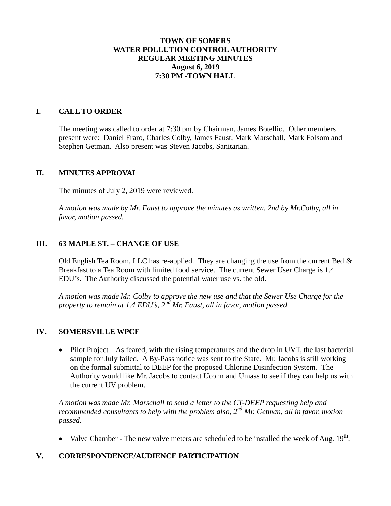### **TOWN OF SOMERS WATER POLLUTION CONTROL AUTHORITY REGULAR MEETING MINUTES August 6, 2019 7:30 PM -TOWN HALL**

### **I. CALL TO ORDER**

The meeting was called to order at 7:30 pm by Chairman, James Botellio. Other members present were: Daniel Fraro, Charles Colby, James Faust, Mark Marschall, Mark Folsom and Stephen Getman. Also present was Steven Jacobs, Sanitarian.

#### **II. MINUTES APPROVAL**

The minutes of July 2, 2019 were reviewed.

*A motion was made by Mr. Faust to approve the minutes as written. 2nd by Mr.Colby, all in favor, motion passed.*

# **III. 63 MAPLE ST. – CHANGE OF USE**

Old English Tea Room, LLC has re-applied. They are changing the use from the current Bed  $\&$ Breakfast to a Tea Room with limited food service. The current Sewer User Charge is 1.4 EDU's. The Authority discussed the potential water use vs. the old.

*A motion was made Mr. Colby to approve the new use and that the Sewer Use Charge for the property to remain at 1.4 EDU's, 2nd Mr. Faust, all in favor, motion passed.*

# **IV. SOMERSVILLE WPCF**

• Pilot Project – As feared, with the rising temperatures and the drop in UVT, the last bacterial sample for July failed. A By-Pass notice was sent to the State. Mr. Jacobs is still working on the formal submittal to DEEP for the proposed Chlorine Disinfection System. The Authority would like Mr. Jacobs to contact Uconn and Umass to see if they can help us with the current UV problem.

*A motion was made Mr. Marschall to send a letter to the CT-DEEP requesting help and recommended consultants to help with the problem also, 2nd Mr. Getman, all in favor, motion passed.*

• Valve Chamber - The new valve meters are scheduled to be installed the week of Aug.  $19<sup>th</sup>$ .

#### **V. CORRESPONDENCE/AUDIENCE PARTICIPATION**